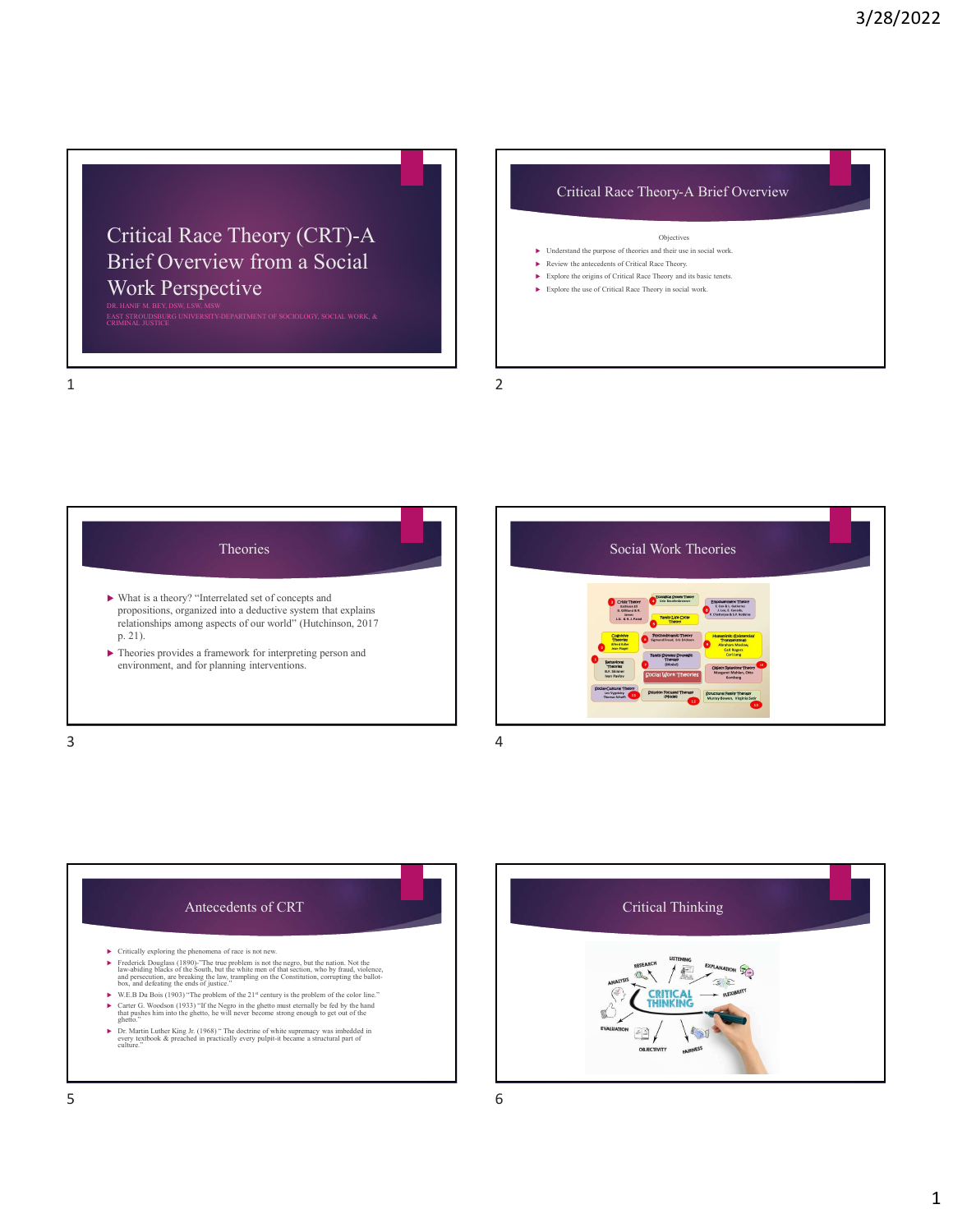## Critical Race Theory (CRT)-A Brief Overview from a Social Work Perspective Critical Race Theory (CRT)-A<br>
Brief Overview from a Social<br>
Work Perspective<br>
Explore the origins of Critical Race Theory, and its basic tenes.<br>
Normand Me purpose of theories and their use in social work.<br>
Explore the ori  $\begin{array}{|c|c|} \hline \multicolumn{3}{c|}{3/28/2022} \\ \hline \multicolumn{3}{c|}{\n Critical Race Theory (CRT)-A} \\ \hline \multicolumn{3}{c|}{\n BireDiver} \\ \hline \multicolumn{3}{c|}{\n Diver} \\ \hline \multicolumn{3}{c|}{\n Diver} \\ \hline \multicolumn{3}{c|}{\n Diver} \\ \hline \multicolumn{3}{c|}{\n Diver} \\ \hline \multicolumn{3}{c|}{\n Diver} \\ \hline \multicolumn{3}{c|}{\n Diver} \\ \hline \multicolumn{3}{c|}{\n D$

DR. HANIF M. BEY, DSW, LSW, MSW

### Objectives

- $\blacktriangleright$  Understand the purpose of theories and their use in social work. Review the antecedents of Critical Race Theory.
- Explore the origins of Critical Race Theory and its basic tenets.
- $\blacktriangleright$  Explore the use of Critical Race Theory in social work.
- 





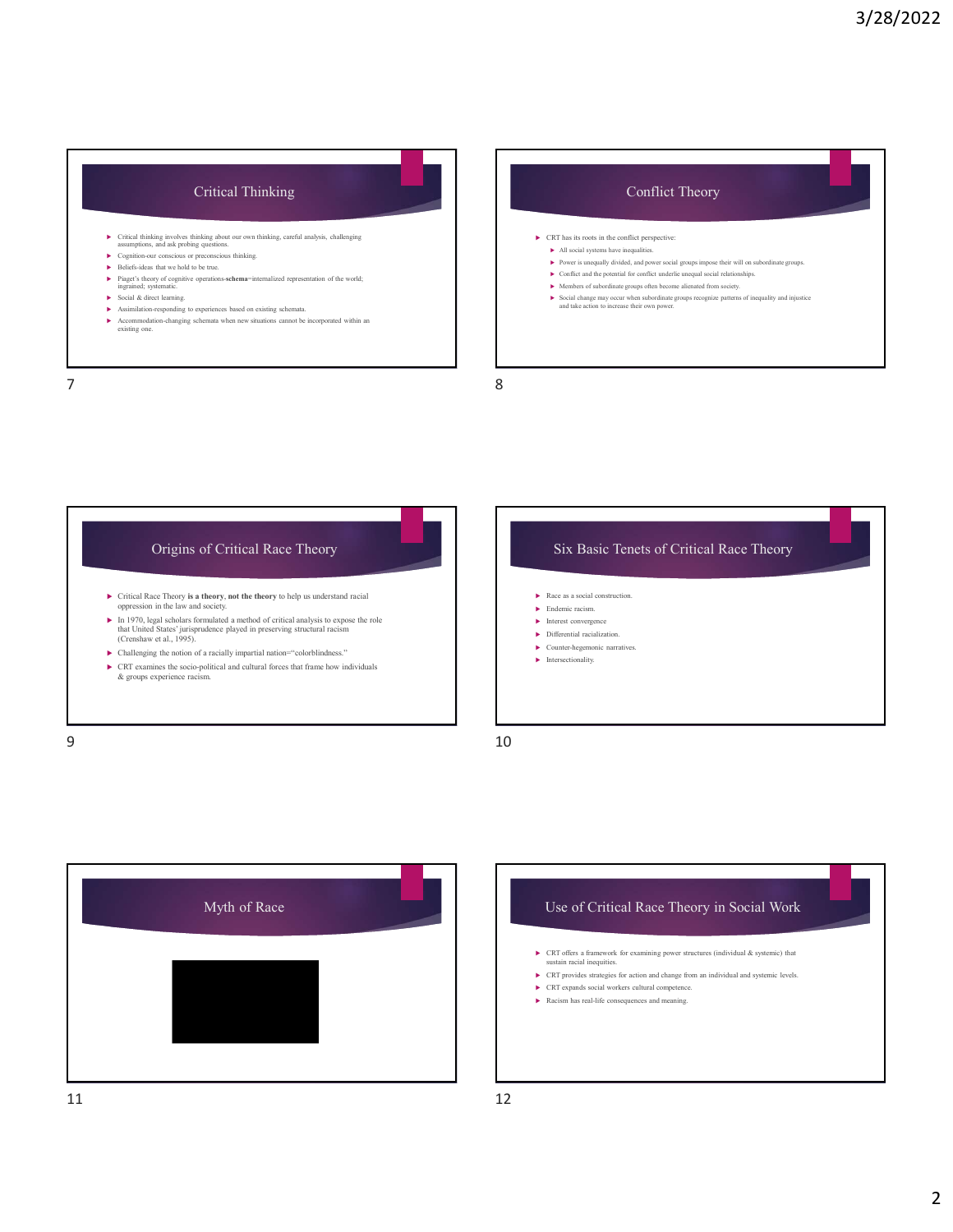## Critical Thinking

- Critical thinking involves thinking about our own thinking, careful analysis, challenging assumptions, and ask probing questions. CR<br> **Cognition-our conscious or preconscious thinking.** 
<br>
► Cognition-our conscious or pr
- 
- 
- **►** Piaget's theory of cognitive operations-schema=internalized representation of the world; ingrained; systematic. **In the maturity of the world;** ingrained; systematic. **In the systematic of the world; In the systemat**
- 
- $\blacktriangleright \quad \text{Assimilation-responding to experiences based on existing schematic.} \\ \blacktriangleright \quad \text{Accommodation-changing schema when new situations cannot be incorporated within an existing one.}$

# Beliefs-ideas that we hold to be true.<br>
Beliefs-ideas that we hold to be true.<br>
Beliefs-ideas that we hold to be true.<br>
Biord's the were interested to be true.<br>
→ Conflict and the potential for conflict underlie unequal s ► Social & direct learning.<br>■ Social direct learning.<br>■ A social direct learning and take action to increase their own power. Critical ministing involves thinking about our own thinking. cureful analysis, challenging<br>
accounting a statement of the condition of the statement of the statement of the statement of the statement of the statement of t 7 8





## Myth of Race **Example 2018** Use of Critical Race Theory in Social Work

- CRT offers a framework for examining power structures (individual & systemic) that sustain racial inequities.
- CRT provides strategies for action and change from an individual and systemic levels.
- CRT expands social workers cultural competence.  $\blacktriangleright$  Racism has real-life consequences and meaning.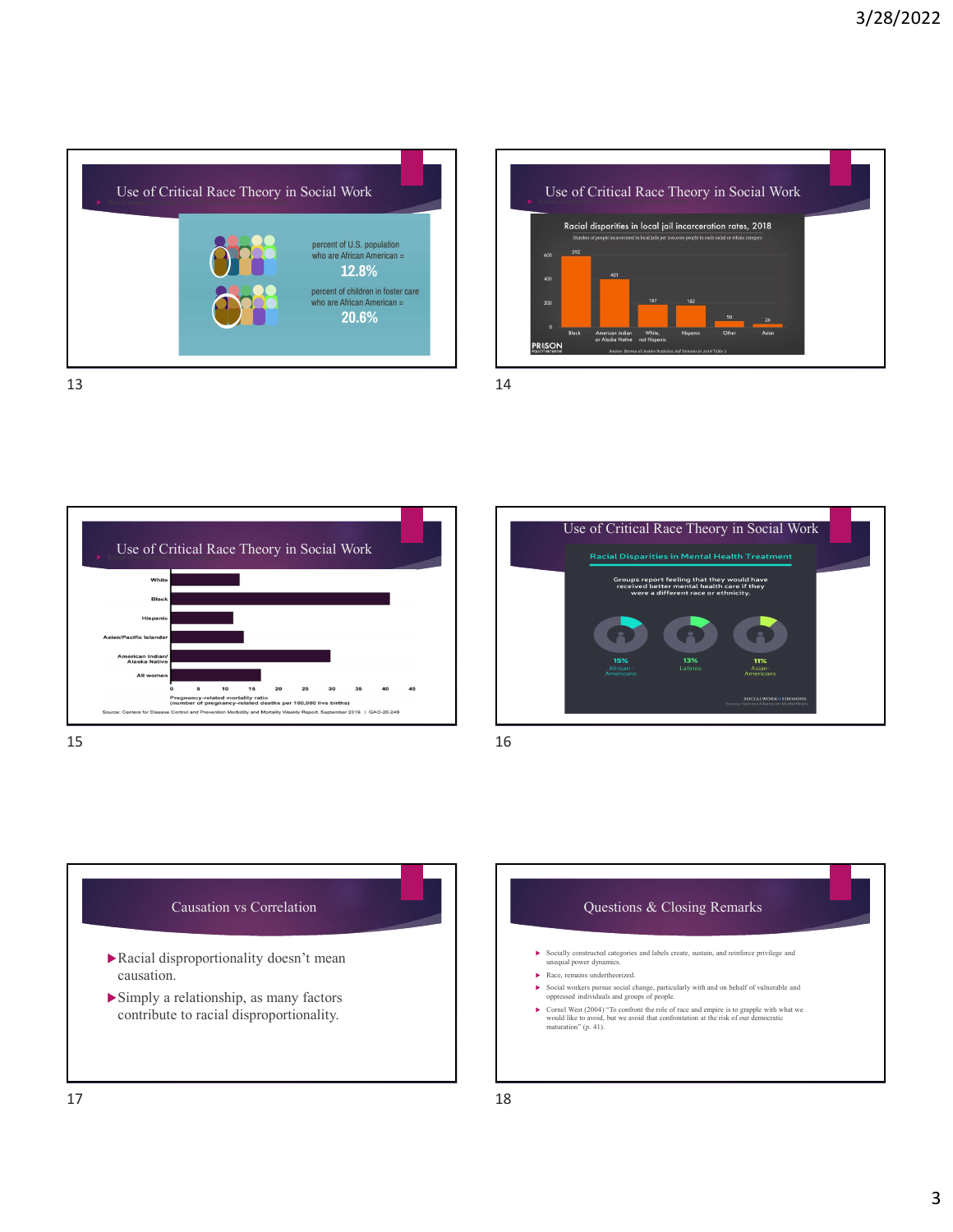